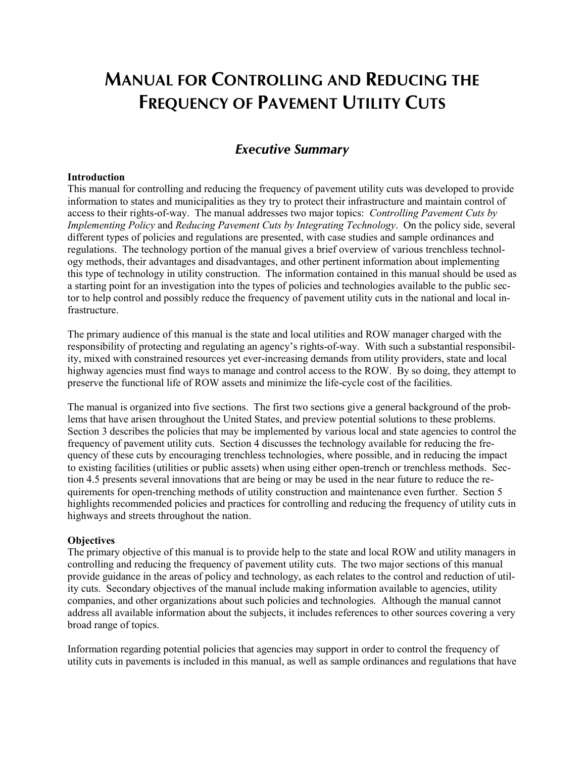# **MANUAL FOR CONTROLLING AND REDUCING THE FREQUENCY OF PAVEMENT UTILITY CUTS**

# *Executive Summary*

#### **Introduction**

This manual for controlling and reducing the frequency of pavement utility cuts was developed to provide information to states and municipalities as they try to protect their infrastructure and maintain control of access to their rights-of-way. The manual addresses two major topics: *Controlling Pavement Cuts by Implementing Policy* and *Reducing Pavement Cuts by Integrating Technology*. On the policy side, several different types of policies and regulations are presented, with case studies and sample ordinances and regulations. The technology portion of the manual gives a brief overview of various trenchless technology methods, their advantages and disadvantages, and other pertinent information about implementing this type of technology in utility construction. The information contained in this manual should be used as a starting point for an investigation into the types of policies and technologies available to the public sector to help control and possibly reduce the frequency of pavement utility cuts in the national and local infrastructure.

The primary audience of this manual is the state and local utilities and ROW manager charged with the responsibility of protecting and regulating an agency's rights-of-way. With such a substantial responsibility, mixed with constrained resources yet ever-increasing demands from utility providers, state and local highway agencies must find ways to manage and control access to the ROW. By so doing, they attempt to preserve the functional life of ROW assets and minimize the life-cycle cost of the facilities.

The manual is organized into five sections. The first two sections give a general background of the problems that have arisen throughout the United States, and preview potential solutions to these problems. Section 3 describes the policies that may be implemented by various local and state agencies to control the frequency of pavement utility cuts. Section 4 discusses the technology available for reducing the frequency of these cuts by encouraging trenchless technologies, where possible, and in reducing the impact to existing facilities (utilities or public assets) when using either open-trench or trenchless methods. Section 4.5 presents several innovations that are being or may be used in the near future to reduce the requirements for open-trenching methods of utility construction and maintenance even further. Section 5 highlights recommended policies and practices for controlling and reducing the frequency of utility cuts in highways and streets throughout the nation.

#### **Objectives**

The primary objective of this manual is to provide help to the state and local ROW and utility managers in controlling and reducing the frequency of pavement utility cuts. The two major sections of this manual provide guidance in the areas of policy and technology, as each relates to the control and reduction of utility cuts. Secondary objectives of the manual include making information available to agencies, utility companies, and other organizations about such policies and technologies. Although the manual cannot address all available information about the subjects, it includes references to other sources covering a very broad range of topics.

Information regarding potential policies that agencies may support in order to control the frequency of utility cuts in pavements is included in this manual, as well as sample ordinances and regulations that have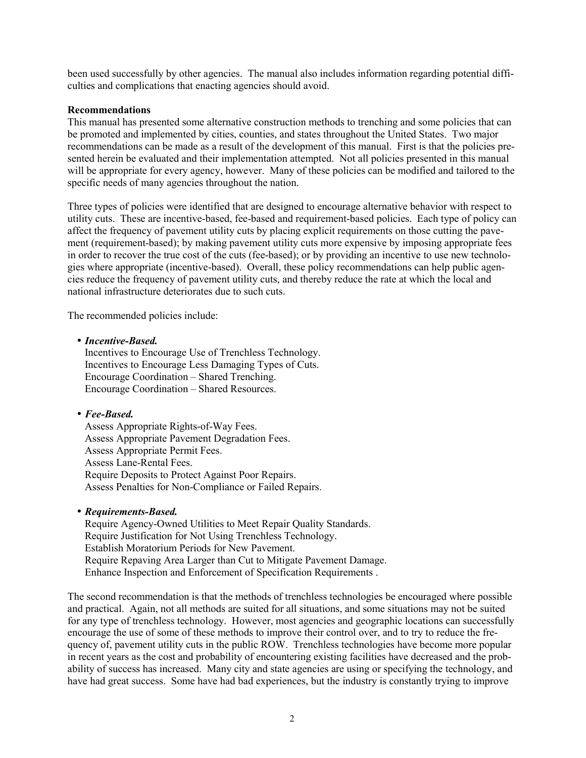been used successfully by other agencies. The manual also includes information regarding potential difficulties and complications that enacting agencies should avoid.

### **Recommendations**

This manual has presented some alternative construction methods to trenching and some policies that can be promoted and implemented by cities, counties, and states throughout the United States. Two major recommendations can be made as a result of the development of this manual. First is that the policies presented herein be evaluated and their implementation attempted. Not all policies presented in this manual will be appropriate for every agency, however. Many of these policies can be modified and tailored to the specific needs of many agencies throughout the nation.

Three types of policies were identified that are designed to encourage alternative behavior with respect to utility cuts. These are incentive-based, fee-based and requirement-based policies. Each type of policy can affect the frequency of pavement utility cuts by placing explicit requirements on those cutting the pavement (requirement-based); by making pavement utility cuts more expensive by imposing appropriate fees in order to recover the true cost of the cuts (fee-based); or by providing an incentive to use new technologies where appropriate (incentive-based). Overall, these policy recommendations can help public agencies reduce the frequency of pavement utility cuts, and thereby reduce the rate at which the local and national infrastructure deteriorates due to such cuts.

The recommended policies include:

• *Incentive-Based.* 

Incentives to Encourage Use of Trenchless Technology. Incentives to Encourage Less Damaging Types of Cuts. Encourage Coordination – Shared Trenching. Encourage Coordination – Shared Resources.

# • *Fee-Based.*

Assess Appropriate Rights-of-Way Fees. Assess Appropriate Pavement Degradation Fees. Assess Appropriate Permit Fees. Assess Lane-Rental Fees. Require Deposits to Protect Against Poor Repairs. Assess Penalties for Non-Compliance or Failed Repairs.

# • *Requirements-Based.*

Require Agency-Owned Utilities to Meet Repair Quality Standards. Require Justification for Not Using Trenchless Technology. Establish Moratorium Periods for New Pavement. Require Repaving Area Larger than Cut to Mitigate Pavement Damage. Enhance Inspection and Enforcement of Specification Requirements .

The second recommendation is that the methods of trenchless technologies be encouraged where possible and practical. Again, not all methods are suited for all situations, and some situations may not be suited for any type of trenchless technology. However, most agencies and geographic locations can successfully encourage the use of some of these methods to improve their control over, and to try to reduce the frequency of, pavement utility cuts in the public ROW. Trenchless technologies have become more popular in recent years as the cost and probability of encountering existing facilities have decreased and the probability of success has increased. Many city and state agencies are using or specifying the technology, and have had great success. Some have had bad experiences, but the industry is constantly trying to improve